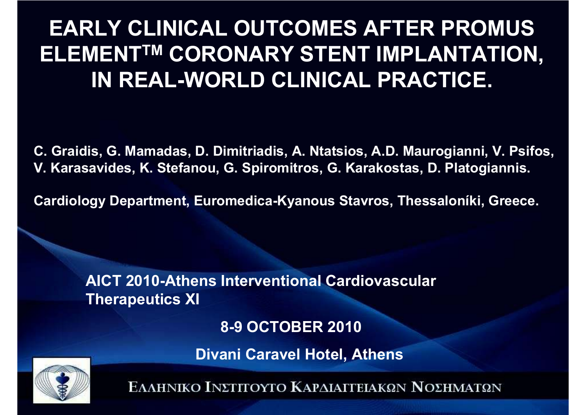## **EARLY CLINICAL OUTCOMES AFTER PROMUS ELEMENTTM CORONARY STENT IMPLANTATION, IN REAL-WORLD CLINICAL PRACTICE.**

**C. Graidis, G. Mamadas, D. Dimitriadis, A. Ntatsios, A.D. Maurogianni, V. Psifos, V. Karasavides, K. Stefanou, G. Spiromitros, G. Karakostas, D. Platogiannis.**

**Cardiology Department, Euromedica-Kyanous Stavros, Thessaloníki, Greece.**

**AICT 2010-Athens Interventional Cardiovascular Therapeutics XI**

**8-9 OCTOBER <sup>2010</sup>**

**Divani Caravel Hotel, Αthens**

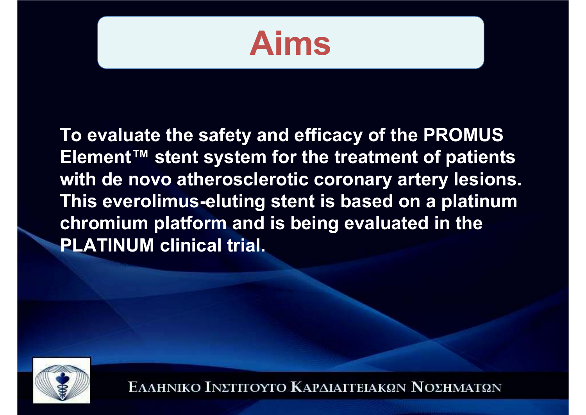

**To evaluate the safety and efficacy of the PROMUS Element™ stent system for the treatment of patients with de novo atherosclerotic coronary artery lesions. This everolimus-eluting stent is based on a platinum chromium platform and is being evaluated in the PLATINUM clinical trial.**

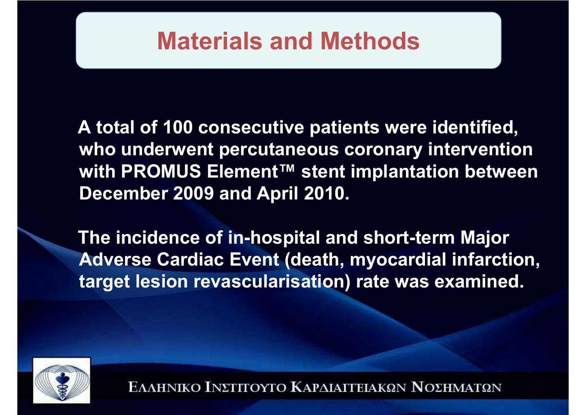## **Materials and Methods**

**A total of 100 consecutive patients were identified, who underwent percutaneous coronary intervention with PROMUS Element™ stent implantation between December 2009 and April 2010.**

**The incidence of in-hospital and short-term Major Adverse Cardiac Event (death, myocardial infarction, target lesion revascularisation) rate was examined.**

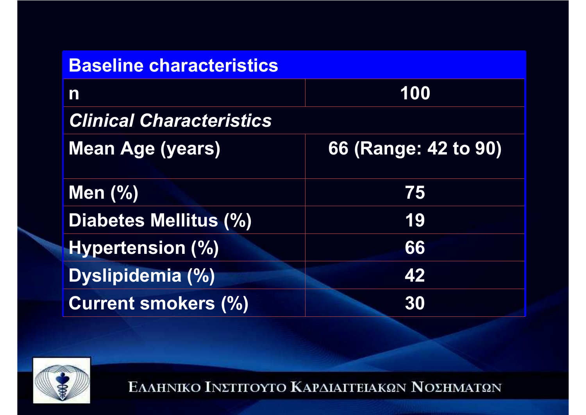| <b>Baseline characteristics</b> |                      |
|---------------------------------|----------------------|
| $\mathbf n$                     | 100                  |
| <b>Clinical Characteristics</b> |                      |
| <b>Mean Age (years)</b>         | 66 (Range: 42 to 90) |
| Men $(\%)$                      | 75                   |
| Diabetes Mellitus (%)           | 19                   |
| <b>Hypertension (%)</b>         | 66                   |
| <b>Dyslipidemia (%)</b>         | 42                   |
| <b>Current smokers (%)</b>      | 30                   |

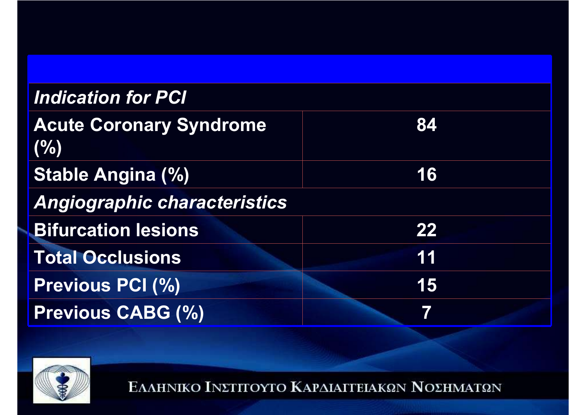| <b>Indication for PCI</b>             |    |
|---------------------------------------|----|
| <b>Acute Coronary Syndrome</b><br>(%) | 84 |
| <b>Stable Angina (%)</b>              | 16 |
| <b>Angiographic characteristics</b>   |    |
| <b>Bifurcation lesions</b>            | 22 |
| <b>Total Occlusions</b>               | 11 |
| <b>Previous PCI (%)</b>               | 15 |
| <b>Previous CABG (%)</b>              |    |
|                                       |    |

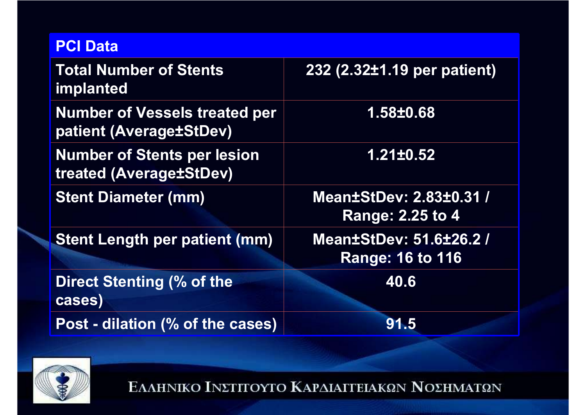#### **PCI Data**

| <b>Total Number of Stents</b><br><i>implanted</i>               | 232 (2.32±1.19 per patient)                               |
|-----------------------------------------------------------------|-----------------------------------------------------------|
| <b>Number of Vessels treated per</b><br>patient (Average±StDev) | 1.58±0.68                                                 |
| <b>Number of Stents per lesion</b><br>treated (Average±StDev)   | 1.21±0.52                                                 |
| <b>Stent Diameter (mm)</b>                                      | <b>Mean±StDev: 2.83±0.31 /</b><br><b>Range: 2.25 to 4</b> |
| <b>Stent Length per patient (mm)</b>                            | <b>Mean±StDev: 51.6±26.2 /</b><br><b>Range: 16 to 116</b> |
| Direct Stenting (% of the<br>cases)                             | 40.6                                                      |
| Post - dilation (% of the cases)                                | 91.5                                                      |

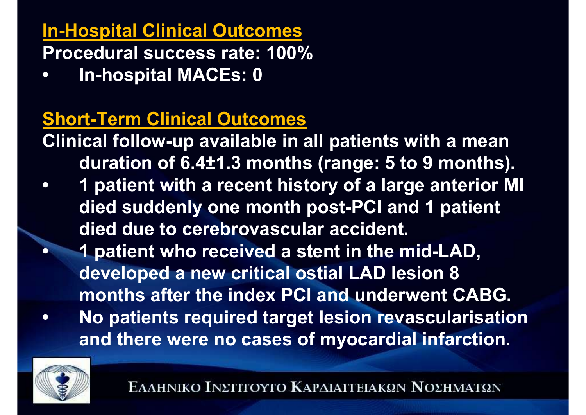### **In-Hospital Clinical Outcomes**

**Procedural success rate: 100%** 

**• In-hospital MACEs: 0** 

## **Short-Term Clinical Outcomes**

**Clinical follow-up available in all patients with a mean duration of 6.4±1.3 months (range: 5 to 9 months).** 

**• 1 patient with a recent history of a large anterior MI died suddenly one month post-PCI and 1 patient died due to cerebrovascular accident.** 

 **1 patient who received a stent in the mid-LAD, developed a new critical ostial LAD lesion 8 months after the index PCI and underwent CABG.**

**• No patients required target lesion revascularisation and there were no cases of myocardial infarction.**



**•**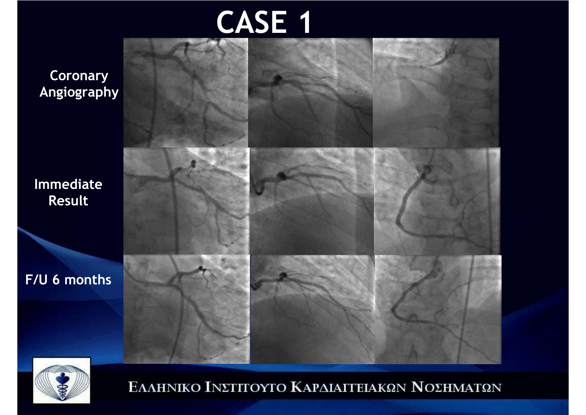# **CASE 1**

**CoronaryAngiography**

**Immediate Result**

**F/U 6 months**



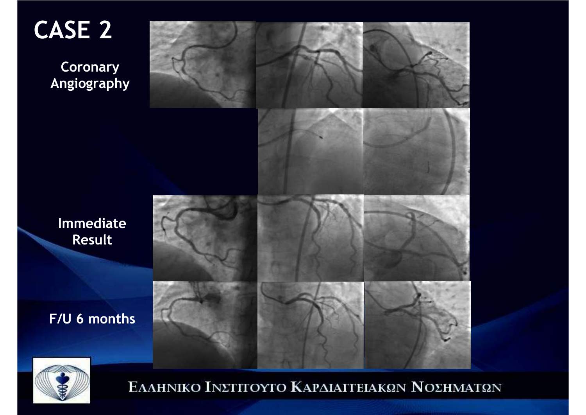**CASE 2**

**CoronaryAngiography**

**Result**

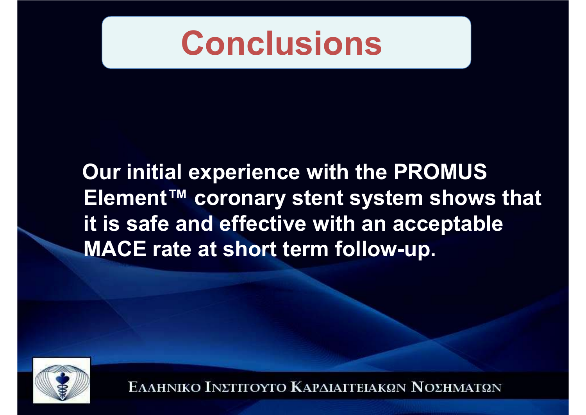

**Our initial experience with the PROMUS Element™ coronary stent system shows that it is safe and effective with an acceptable MACE rate at short term follow-up.**